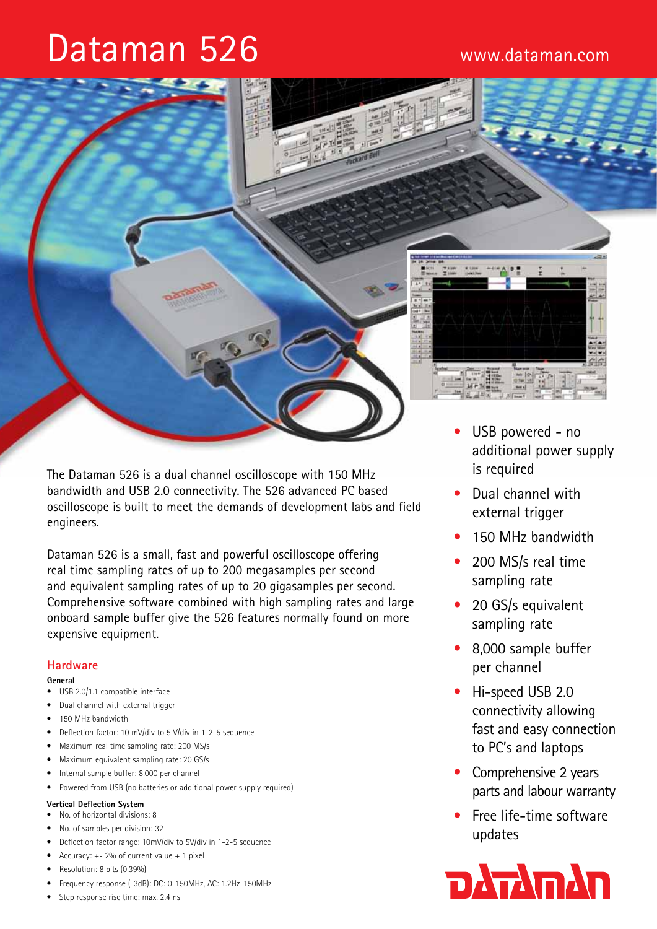# Dataman 526



The Dataman 526 is a dual channel oscilloscope with 150 MHz bandwidth and USB 2.0 connectivity. The 526 advanced PC based oscilloscope is built to meet the demands of development labs and field engineers.

Dataman 526 is a small, fast and powerful oscilloscope offering real time sampling rates of up to 200 megasamples per second and equivalent sampling rates of up to 20 gigasamples per second. Comprehensive software combined with high sampling rates and large onboard sample buffer give the 526 features normally found on more expensive equipment.

# **Hardware**

#### **General**

- USB 2.0/1.1 compatible interface
- • Dual channel with external trigger
- 150 MHz bandwidth
- Deflection factor: 10 mV/div to 5 V/div in 1-2-5 sequence
- Maximum real time sampling rate: 200 MS/s
- • Maximum equivalent sampling rate: 20 GS/s
- Internal sample buffer: 8,000 per channel
- Powered from USB (no batteries or additional power supply required)

# **Vertical Deflection System**

- • No. of horizontal divisions: 8
- No. of samples per division: 32
- Deflection factor range: 10mV/div to 5V/div in 1-2-5 sequence
- Accuracy:  $+- 2%$  of current value  $+ 1$  pixel
- Resolution: 8 bits (0,39%)
- Frequency response (-3dB): DC: 0-150MHz, AC: 1.2Hz-150MHz
- Step response rise time: max. 2.4 ns
- USB powered no additional power supply is required
- Dual channel with external trigger
- 150 MHz bandwidth
- 200 MS/s real time sampling rate
- 20 GS/s equivalent sampling rate
- 8,000 sample buffer per channel
- Hi-speed USB 2.0 connectivity allowing fast and easy connection to PC's and laptops
- Comprehensive 2 years parts and labour warranty
- Free life-time software updates